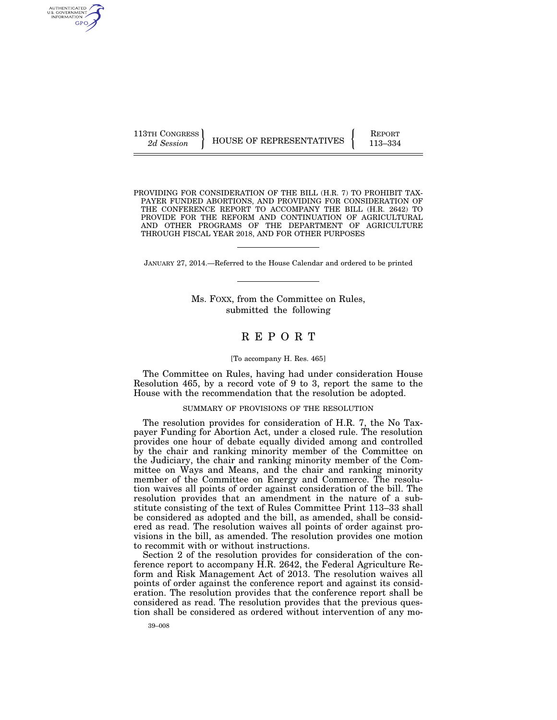AUTHENTICATED U.S. GOVERNMENT<br>INFORMATION GPO

113TH CONGRESS HOUSE OF REPRESENTATIVES FEPORT 113–334

PROVIDING FOR CONSIDERATION OF THE BILL (H.R. 7) TO PROHIBIT TAX-PAYER FUNDED ABORTIONS, AND PROVIDING FOR CONSIDERATION OF THE CONFERENCE REPORT TO ACCOMPANY THE BILL (H.R. 2642) TO PROVIDE FOR THE REFORM AND CONTINUATION OF AGRICULTURAL AND OTHER PROGRAMS OF THE DEPARTMENT OF AGRICULTURE THROUGH FISCAL YEAR 2018, AND FOR OTHER PURPOSES

JANUARY 27, 2014.—Referred to the House Calendar and ordered to be printed

Ms. FOXX, from the Committee on Rules, submitted the following

# R E P O R T

#### [To accompany H. Res. 465]

The Committee on Rules, having had under consideration House Resolution 465, by a record vote of 9 to 3, report the same to the House with the recommendation that the resolution be adopted.

#### SUMMARY OF PROVISIONS OF THE RESOLUTION

The resolution provides for consideration of H.R. 7, the No Taxpayer Funding for Abortion Act, under a closed rule. The resolution provides one hour of debate equally divided among and controlled by the chair and ranking minority member of the Committee on the Judiciary, the chair and ranking minority member of the Committee on Ways and Means, and the chair and ranking minority member of the Committee on Energy and Commerce. The resolution waives all points of order against consideration of the bill. The resolution provides that an amendment in the nature of a substitute consisting of the text of Rules Committee Print 113–33 shall be considered as adopted and the bill, as amended, shall be considered as read. The resolution waives all points of order against provisions in the bill, as amended. The resolution provides one motion to recommit with or without instructions.

Section 2 of the resolution provides for consideration of the conference report to accompany H.R. 2642, the Federal Agriculture Reform and Risk Management Act of 2013. The resolution waives all points of order against the conference report and against its consideration. The resolution provides that the conference report shall be considered as read. The resolution provides that the previous question shall be considered as ordered without intervention of any mo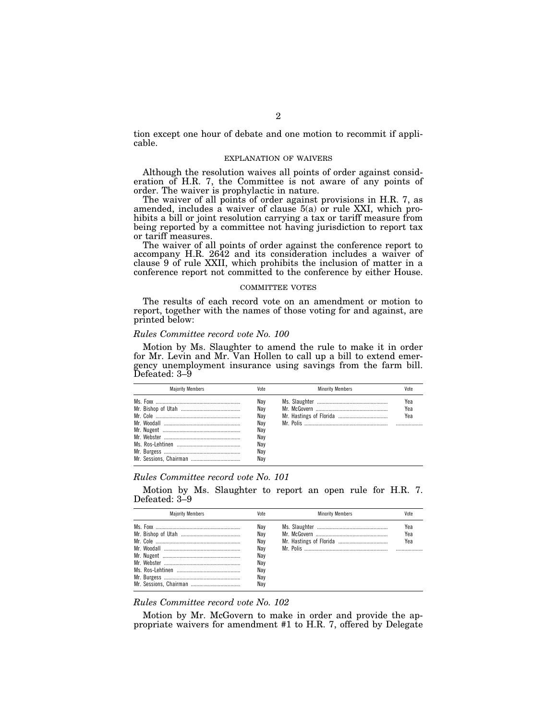tion except one hour of debate and one motion to recommit if applicable.

#### EXPLANATION OF WAIVERS

Although the resolution waives all points of order against consideration of H.R. 7, the Committee is not aware of any points of order. The waiver is prophylactic in nature.

The waiver of all points of order against provisions in H.R. 7, as amended, includes a waiver of clause 5(a) or rule XXI, which prohibits a bill or joint resolution carrying a tax or tariff measure from being reported by a committee not having jurisdiction to report tax or tariff measures.

The waiver of all points of order against the conference report to accompany H.R. 2642 and its consideration includes a waiver of clause 9 of rule XXII, which prohibits the inclusion of matter in a conference report not committed to the conference by either House.

#### COMMITTEE VOTES

The results of each record vote on an amendment or motion to report, together with the names of those voting for and against, are printed below:

### *Rules Committee record vote No. 100*

Motion by Ms. Slaughter to amend the rule to make it in order for Mr. Levin and Mr. Van Hollen to call up a bill to extend emergency unemployment insurance using savings from the farm bill. Defeated: 3–9

| <b>Maiority Members</b> | Vote                                                        | <b>Minority Members</b> | Vote              |
|-------------------------|-------------------------------------------------------------|-------------------------|-------------------|
|                         | Nav<br>Nav<br>Nav<br>Nav<br>Nay<br>Nav<br>Nav<br>Nav<br>Nav |                         | Yea<br>Yea<br>Yea |

### *Rules Committee record vote No. 101*

Motion by Ms. Slaughter to report an open rule for H.R. 7. Defeated: 3–9

| <b>Maiority Members</b> | Vnte                                                        | <b>Minority Members</b> | Vote              |
|-------------------------|-------------------------------------------------------------|-------------------------|-------------------|
|                         | Nav<br>Nav<br>Nav<br>Nav<br>Nav<br>Nav<br>Nav<br>Nav<br>Nav |                         | Yea<br>Yea<br>Yea |

### *Rules Committee record vote No. 102*

Motion by Mr. McGovern to make in order and provide the appropriate waivers for amendment #1 to H.R. 7, offered by Delegate